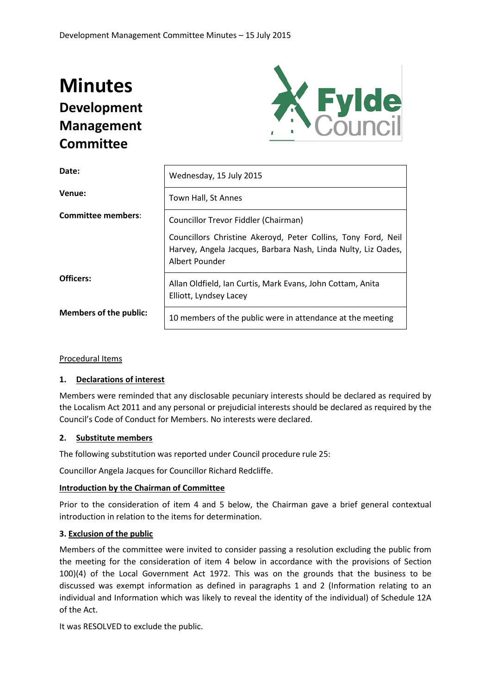# **Minutes Development Management Committee**



| Date:                         | Wednesday, 15 July 2015                                                                                                                          |
|-------------------------------|--------------------------------------------------------------------------------------------------------------------------------------------------|
| Venue:                        | Town Hall, St Annes                                                                                                                              |
| <b>Committee members:</b>     | Councillor Trevor Fiddler (Chairman)                                                                                                             |
|                               | Councillors Christine Akeroyd, Peter Collins, Tony Ford, Neil<br>Harvey, Angela Jacques, Barbara Nash, Linda Nulty, Liz Oades,<br>Albert Pounder |
| Officers:                     | Allan Oldfield, Ian Curtis, Mark Evans, John Cottam, Anita<br>Elliott, Lyndsey Lacey                                                             |
| <b>Members of the public:</b> | 10 members of the public were in attendance at the meeting                                                                                       |

Procedural Items

# **1. Declarations of interest**

Members were reminded that any disclosable pecuniary interests should be declared as required by the Localism Act 2011 and any personal or prejudicial interests should be declared as required by the Council's Code of Conduct for Members. No interests were declared.

# **2. Substitute members**

The following substitution was reported under Council procedure rule 25:

Councillor Angela Jacques for Councillor Richard Redcliffe.

# **Introduction by the Chairman of Committee**

Prior to the consideration of item 4 and 5 below, the Chairman gave a brief general contextual introduction in relation to the items for determination.

# **3. Exclusion of the public**

Members of the committee were invited to consider passing a resolution excluding the public from the meeting for the consideration of item 4 below in accordance with the provisions of Section 100)(4) of the Local Government Act 1972. This was on the grounds that the business to be discussed was exempt information as defined in paragraphs 1 and 2 (Information relating to an individual and Information which was likely to reveal the identity of the individual) of Schedule 12A of the Act.

It was RESOLVED to exclude the public.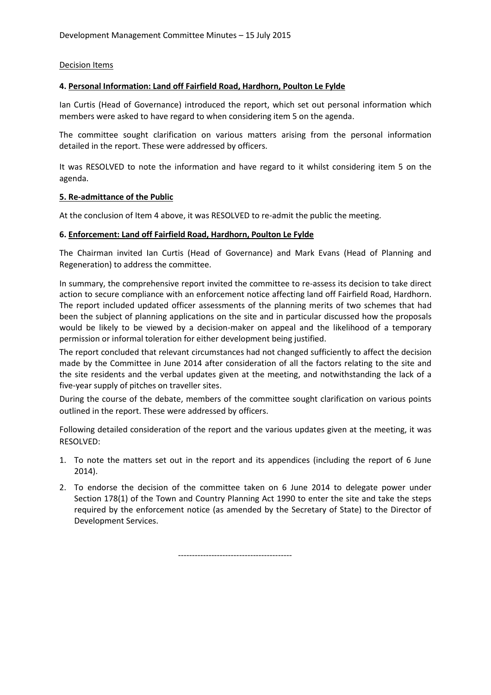#### Decision Items

#### **4. Personal Information: Land off Fairfield Road, Hardhorn, Poulton Le Fylde**

Ian Curtis (Head of Governance) introduced the report, which set out personal information which members were asked to have regard to when considering item 5 on the agenda.

The committee sought clarification on various matters arising from the personal information detailed in the report. These were addressed by officers.

It was RESOLVED to note the information and have regard to it whilst considering item 5 on the agenda.

#### **5. Re-admittance of the Public**

At the conclusion of Item 4 above, it was RESOLVED to re-admit the public the meeting.

#### **6. Enforcement: Land off Fairfield Road, Hardhorn, Poulton Le Fylde**

The Chairman invited Ian Curtis (Head of Governance) and Mark Evans (Head of Planning and Regeneration) to address the committee.

In summary, the comprehensive report invited the committee to re-assess its decision to take direct action to secure compliance with an enforcement notice affecting land off Fairfield Road, Hardhorn. The report included updated officer assessments of the planning merits of two schemes that had been the subject of planning applications on the site and in particular discussed how the proposals would be likely to be viewed by a decision-maker on appeal and the likelihood of a temporary permission or informal toleration for either development being justified.

The report concluded that relevant circumstances had not changed sufficiently to affect the decision made by the Committee in June 2014 after consideration of all the factors relating to the site and the site residents and the verbal updates given at the meeting, and notwithstanding the lack of a five-year supply of pitches on traveller sites.

During the course of the debate, members of the committee sought clarification on various points outlined in the report. These were addressed by officers.

Following detailed consideration of the report and the various updates given at the meeting, it was RESOLVED:

- 1. To note the matters set out in the report and its appendices (including the report of 6 June 2014).
- 2. To endorse the decision of the committee taken on 6 June 2014 to delegate power under Section 178(1) of the Town and Country Planning Act 1990 to enter the site and take the steps required by the enforcement notice (as amended by the Secretary of State) to the Director of Development Services.

-----------------------------------------